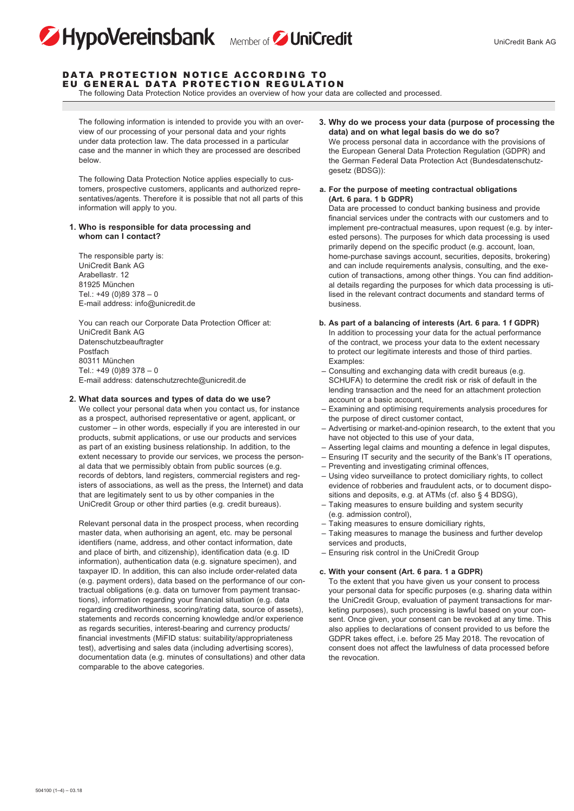

#### DATA PROTECTION NOTICE ACCORDING TO EU GENERAL DATA PROTECTION REGULATION

HypoVereinsbank Member of UniCredit

The following Data Protection Notice provides an overview of how your data are collected and processed.

 The following information is intended to provide you with an overview of our processing of your personal data and your rights under data protection law. The data processed in a particular case and the manner in which they are processed are described below.

 The following Data Protection Notice applies especially to customers, prospective customers, applicants and authorized representatives/agents. Therefore it is possible that not all parts of this information will apply to you.

### **1. Who is responsible for data processing and whom can I contact?**

 The responsible party is: UniCredit Bank AG Arabellastr. 12 81925 München Tel.: +49 (0)89 378 – 0 E-mail address: info@unicredit.de

 You can reach our Corporate Data Protection Officer at: UniCredit Bank AG Datenschutzbeauftragter Postfach 80311 München Tel.: +49 (0)89 378 – 0 E-mail address: datenschutzrechte@unicredit.de

#### **2. What data sources and types of data do we use?**

 We collect your personal data when you contact us, for instance as a prospect, authorised representative or agent, applicant, or customer – in other words, especially if you are interested in our products, submit applications, or use our products and services as part of an existing business relationship. In addition, to the extent necessary to provide our services, we process the personal data that we permissibly obtain from public sources (e.g. records of debtors, land registers, commercial registers and registers of associations, as well as the press, the Internet) and data that are legitimately sent to us by other companies in the UniCredit Group or other third parties (e.g. credit bureaus).

 Relevant personal data in the prospect process, when recording master data, when authorising an agent, etc. may be personal identifiers (name, address, and other contact information, date and place of birth, and citizenship), identification data (e.g. ID information), authentication data (e.g. signature specimen), and taxpayer ID. In addition, this can also include order-related data (e.g. payment orders), data based on the performance of our contractual obligations (e.g. data on turnover from payment transactions), information regarding your financial situation (e.g. data regarding creditworthiness, scoring/rating data, source of assets), statements and records concerning knowledge and/or experience as regards securities, interest-bearing and currency products/ financial investments (MiFID status: suitability/appropriateness test), advertising and sales data (including advertising scores), documentation data (e.g. minutes of consultations) and other data comparable to the above categories.

**3. Why do we process your data (purpose of processing the data) and on what legal basis do we do so?**

 We process personal data in accordance with the provisions of the European General Data Protection Regulation (GDPR) and the German Federal Data Protection Act (Bundesdatenschutzgesetz (BDSG)):

**a. For the purpose of meeting contractual obligations (Art. 6 para. 1 b GDPR)**

 Data are processed to conduct banking business and provide financial services under the contracts with our customers and to implement pre-contractual measures, upon request (e.g. by interested persons). The purposes for which data processing is used primarily depend on the specific product (e.g. account, loan, home-purchase savings account, securities, deposits, brokering) and can include requirements analysis, consulting, and the execution of transactions, among other things. You can find additional details regarding the purposes for which data processing is utilised in the relevant contract documents and standard terms of business.

- **b. As part of a balancing of interests (Art. 6 para. 1 f GDPR)** In addition to processing your data for the actual performance of the contract, we process your data to the extent necessary to protect our legitimate interests and those of third parties. Examples:
- Consulting and exchanging data with credit bureaus (e.g. SCHUFA) to determine the credit risk or risk of default in the lending transaction and the need for an attachment protection account or a basic account,
- Examining and optimising requirements analysis procedures for the purpose of direct customer contact,
- Advertising or market-and-opinion research, to the extent that you have not objected to this use of your data,
- Asserting legal claims and mounting a defence in legal disputes,
- Ensuring IT security and the security of the Bank's IT operations,
- Preventing and investigating criminal offences,
- Using video surveillance to protect domiciliary rights, to collect evidence of robberies and fraudulent acts, or to document dispositions and deposits, e.g. at ATMs (cf. also § 4 BDSG),
- Taking measures to ensure building and system security (e.g. admission control),
- Taking measures to ensure domiciliary rights,
- Taking measures to manage the business and further develop services and products,
- Ensuring risk control in the UniCredit Group

#### **c. With your consent (Art. 6 para. 1 a GDPR)**

 To the extent that you have given us your consent to process your personal data for specific purposes (e.g. sharing data within the UniCredit Group, evaluation of payment transactions for marketing purposes), such processing is lawful based on your consent. Once given, your consent can be revoked at any time. This also applies to declarations of consent provided to us before the GDPR takes effect, i.e. before 25 May 2018. The revocation of consent does not affect the lawfulness of data processed before the revocation.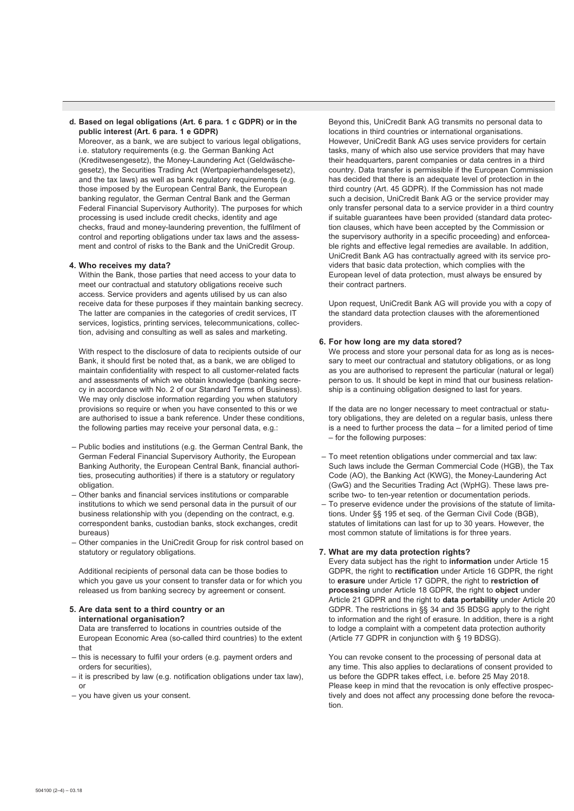### **d. Based on legal obligations (Art. 6 para. 1 c GDPR) or in the public interest (Art. 6 para. 1 e GDPR)**

 Moreover, as a bank, we are subject to various legal obligations, i.e. statutory requirements (e.g. the German Banking Act (Kreditwesengesetz), the Money-Laundering Act (Geldwäschegesetz), the Securities Trading Act (Wertpapierhandelsgesetz), and the tax laws) as well as bank regulatory requirements (e.g. those imposed by the European Central Bank, the European banking regulator, the German Central Bank and the German Federal Financial Supervisory Authority). The purposes for which processing is used include credit checks, identity and age checks, fraud and money-laundering prevention, the fulfilment of control and reporting obligations under tax laws and the assessment and control of risks to the Bank and the UniCredit Group.

## **4. Who receives my data?**

 Within the Bank, those parties that need access to your data to meet our contractual and statutory obligations receive such access. Service providers and agents utilised by us can also receive data for these purposes if they maintain banking secrecy. The latter are companies in the categories of credit services, IT services, logistics, printing services, telecommunications, collection, advising and consulting as well as sales and marketing.

 With respect to the disclosure of data to recipients outside of our Bank, it should first be noted that, as a bank, we are obliged to maintain confidentiality with respect to all customer-related facts and assessments of which we obtain knowledge (banking secrecy in accordance with No. 2 of our Standard Terms of Business). We may only disclose information regarding you when statutory provisions so require or when you have consented to this or we are authorised to issue a bank reference. Under these conditions, the following parties may receive your personal data, e.g.:

- Public bodies and institutions (e.g. the German Central Bank, the German Federal Financial Supervisory Authority, the European Banking Authority, the European Central Bank, financial authorities, prosecuting authorities) if there is a statutory or regulatory obligation.
- Other banks and financial services institutions or comparable institutions to which we send personal data in the pursuit of our business relationship with you (depending on the contract, e.g. correspondent banks, custodian banks, stock exchanges, credit bureaus)
- Other companies in the UniCredit Group for risk control based on statutory or regulatory obligations.

 Additional recipients of personal data can be those bodies to which you gave us your consent to transfer data or for which you released us from banking secrecy by agreement or consent.

# **5. Are data sent to a third country or an international organisation?**

 Data are transferred to locations in countries outside of the European Economic Area (so-called third countries) to the extent that

- this is necessary to fulfil your orders (e.g. payment orders and orders for securities),
- it is prescribed by law (e.g. notification obligations under tax law), or
- you have given us your consent.

 Beyond this, UniCredit Bank AG transmits no personal data to locations in third countries or international organisations. However, UniCredit Bank AG uses service providers for certain tasks, many of which also use service providers that may have their headquarters, parent companies or data centres in a third country. Data transfer is permissible if the European Commission has decided that there is an adequate level of protection in the third country (Art. 45 GDPR). If the Commission has not made such a decision, UniCredit Bank AG or the service provider may only transfer personal data to a service provider in a third country if suitable guarantees have been provided (standard data protection clauses, which have been accepted by the Commission or the supervisory authority in a specific proceeding) and enforceable rights and effective legal remedies are available. In addition, UniCredit Bank AG has contractually agreed with its service providers that basic data protection, which complies with the European level of data protection, must always be ensured by their contract partners.

 Upon request, UniCredit Bank AG will provide you with a copy of the standard data protection clauses with the aforementioned providers.

#### **6. For how long are my data stored?**

 We process and store your personal data for as long as is necessary to meet our contractual and statutory obligations, or as long as you are authorised to represent the particular (natural or legal) person to us. It should be kept in mind that our business relationship is a continuing obligation designed to last for years.

 If the data are no longer necessary to meet contractual or statutory obligations, they are deleted on a regular basis, unless there is a need to further process the data – for a limited period of time – for the following purposes:

- To meet retention obligations under commercial and tax law: Such laws include the German Commercial Code (HGB), the Tax Code (AO), the Banking Act (KWG), the Money-Laundering Act (GwG) and the Securities Trading Act (WpHG). These laws prescribe two- to ten-year retention or documentation periods.
- To preserve evidence under the provisions of the statute of limitations. Under §§ 195 et seq. of the German Civil Code (BGB), statutes of limitations can last for up to 30 years. However, the most common statute of limitations is for three years.

### **7. What are my data protection rights?**

 Every data subject has the right to **information** under Article 15 GDPR, the right to **rectification** under Article 16 GDPR, the right to **erasure** under Article 17 GDPR, the right to **restriction of processing** under Article 18 GDPR, the right to **object** under Article 21 GDPR and the right to **data portability** under Article 20 GDPR. The restrictions in §§ 34 and 35 BDSG apply to the right to information and the right of erasure. In addition, there is a right to lodge a complaint with a competent data protection authority (Article 77 GDPR in conjunction with § 19 BDSG).

 You can revoke consent to the processing of personal data at any time. This also applies to declarations of consent provided to us before the GDPR takes effect, i.e. before 25 May 2018. Please keep in mind that the revocation is only effective prospectively and does not affect any processing done before the revocation.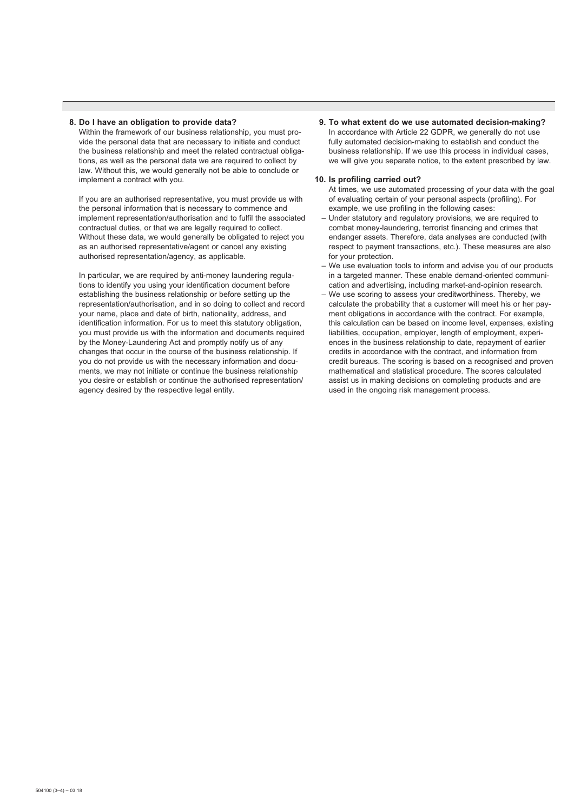## **8. Do I have an obligation to provide data?**

 Within the framework of our business relationship, you must provide the personal data that are necessary to initiate and conduct the business relationship and meet the related contractual obligations, as well as the personal data we are required to collect by law. Without this, we would generally not be able to conclude or implement a contract with you.

 If you are an authorised representative, you must provide us with the personal information that is necessary to commence and implement representation/authorisation and to fulfil the associated contractual duties, or that we are legally required to collect. Without these data, we would generally be obligated to reject you as an authorised representative/agent or cancel any existing authorised representation/agency, as applicable.

 In particular, we are required by anti-money laundering regulations to identify you using your identification document before establishing the business relationship or before setting up the representation/authorisation, and in so doing to collect and record your name, place and date of birth, nationality, address, and identification information. For us to meet this statutory obligation, you must provide us with the information and documents required by the Money-Laundering Act and promptly notify us of any changes that occur in the course of the business relationship. If you do not provide us with the necessary information and documents, we may not initiate or continue the business relationship you desire or establish or continue the authorised representation/ agency desired by the respective legal entity.

# **9. To what extent do we use automated decision-making?**

 In accordance with Article 22 GDPR, we generally do not use fully automated decision-making to establish and conduct the business relationship. If we use this process in individual cases, we will give you separate notice, to the extent prescribed by law.

#### **10. Is profiling carried out?**

 At times, we use automated processing of your data with the goal of evaluating certain of your personal aspects (profiling). For example, we use profiling in the following cases:

- Under statutory and regulatory provisions, we are required to combat money-laundering, terrorist financing and crimes that endanger assets. Therefore, data analyses are conducted (with respect to payment transactions, etc.). These measures are also for your protection.
- We use evaluation tools to inform and advise you of our products in a targeted manner. These enable demand-oriented communication and advertising, including market-and-opinion research.
- We use scoring to assess your creditworthiness. Thereby, we calculate the probability that a customer will meet his or her payment obligations in accordance with the contract. For example, this calculation can be based on income level, expenses, existing liabilities, occupation, employer, length of employment, experiences in the business relationship to date, repayment of earlier credits in accordance with the contract, and information from credit bureaus. The scoring is based on a recognised and proven mathematical and statistical procedure. The scores calculated assist us in making decisions on completing products and are used in the ongoing risk management process.